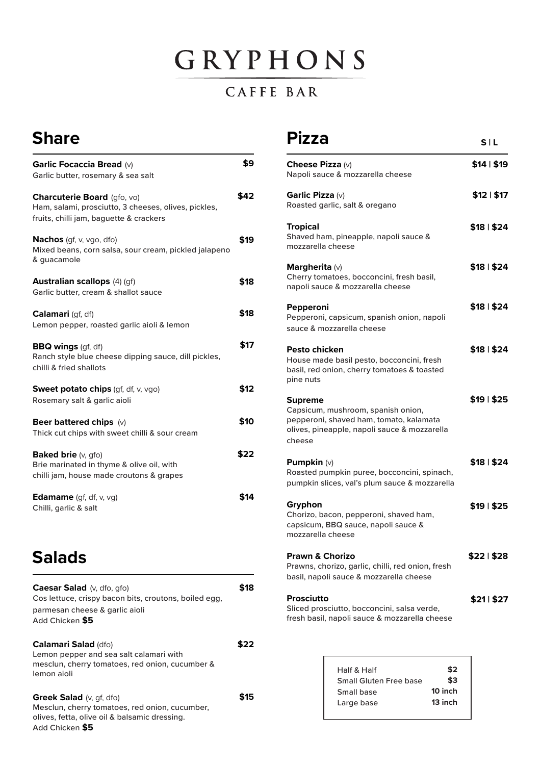# GRYPHONS

#### CAFFE BAR

## **Share**

| <b>Garlic Focaccia Bread (v)</b><br>Garlic butter, rosemary & sea salt                                                         | \$9  |
|--------------------------------------------------------------------------------------------------------------------------------|------|
| Charcuterie Board (gfo, vo)<br>Ham, salami, prosciutto, 3 cheeses, olives, pickles,<br>fruits, chilli jam, baguette & crackers | \$42 |
| <b>Nachos</b> (gf, v, vgo, dfo)<br>Mixed beans, corn salsa, sour cream, pickled jalapeno<br>& guacamole                        | \$19 |
| <b>Australian scallops</b> (4) (qf)<br>Garlic butter, cream & shallot sauce                                                    | \$18 |
| Calamari (gf, df)<br>Lemon pepper, roasted garlic aioli & lemon                                                                | \$18 |
| <b>BBQ wings</b> (gf, df)<br>Ranch style blue cheese dipping sauce, dill pickles,<br>chilli & fried shallots                   | \$17 |
| <b>Sweet potato chips</b> (qf, df, $v$ , $v$ go)<br>Rosemary salt & garlic aioli                                               | \$12 |
| Beer battered chips $(v)$<br>Thick cut chips with sweet chilli & sour cream                                                    | \$10 |
| Baked brie (v, gfo)<br>Brie marinated in thyme & olive oil, with<br>chilli jam, house made croutons & grapes                   | \$22 |
| <b>Edamame</b> (gf, df, $v$ , $vg$ )<br>Chilli, garlic & salt                                                                  | S14  |

## **Salads**

| Caesar Salad (v, dfo, gfo)<br>Cos lettuce, crispy bacon bits, croutons, boiled egg,<br>parmesan cheese & garlic aioli<br>Add Chicken \$5                |     |
|---------------------------------------------------------------------------------------------------------------------------------------------------------|-----|
| <b>Calamari Salad (dfo)</b><br>Lemon pepper and sea salt calamari with<br>mesclun, cherry tomatoes, red onion, cucumber &<br>lemon aioli                |     |
| <b>Greek Salad</b> $(v, qf, dfo)$<br>Mesclun, cherry tomatoes, red onion, cucumber,<br>olives, fetta, olive oil & balsamic dressing.<br>Add Chicken \$5 | 515 |

#### **Pizza**

**S | L**

| <b>Cheese Pizza (v)</b><br>Napoli sauce & mozzarella cheese                                                                                        | \$14   \$19 |
|----------------------------------------------------------------------------------------------------------------------------------------------------|-------------|
| Garlic Pizza (v)<br>Roasted garlic, salt & oregano                                                                                                 | \$12   \$17 |
| Tropical<br>Shaved ham, pineapple, napoli sauce &<br>mozzarella cheese                                                                             | \$18   \$24 |
| Margherita (v)<br>Cherry tomatoes, bocconcini, fresh basil,<br>napoli sauce & mozzarella cheese                                                    | \$18   \$24 |
| Pepperoni<br>Pepperoni, capsicum, spanish onion, napoli<br>sauce & mozzarella cheese                                                               | \$18   \$24 |
| Pesto chicken<br>House made basil pesto, bocconcini, fresh<br>basil, red onion, cherry tomatoes & toasted<br>pine nuts                             | \$18   \$24 |
| Supreme<br>Capsicum, mushroom, spanish onion,<br>pepperoni, shaved ham, tomato, kalamata<br>olives, pineapple, napoli sauce & mozzarella<br>cheese | \$19   \$25 |
| <b>Pumpkin</b> $(v)$<br>Roasted pumpkin puree, bocconcini, spinach,<br>pumpkin slices, val's plum sauce & mozzarella                               | \$18   \$24 |
| Gryphon<br>Chorizo, bacon, pepperoni, shaved ham,<br>capsicum, BBQ sauce, napoli sauce &<br>mozzarella cheese                                      | \$19   \$25 |
| <b>Prawn &amp; Chorizo</b><br>Prawns, chorizo, garlic, chilli, red onion, fresh<br>basil, napoli sauce & mozzarella cheese                         | \$22   \$28 |
| Prosciutto<br>Sliced prosciutto, bocconcini, salsa verde,<br>fresh basil, napoli sauce & mozzarella cheese                                         | \$21  \$27  |

| Half & Half            | \$2     |
|------------------------|---------|
| Small Gluten Free base | \$3     |
| Small base             | 10 inch |
| Large base             | 13 inch |